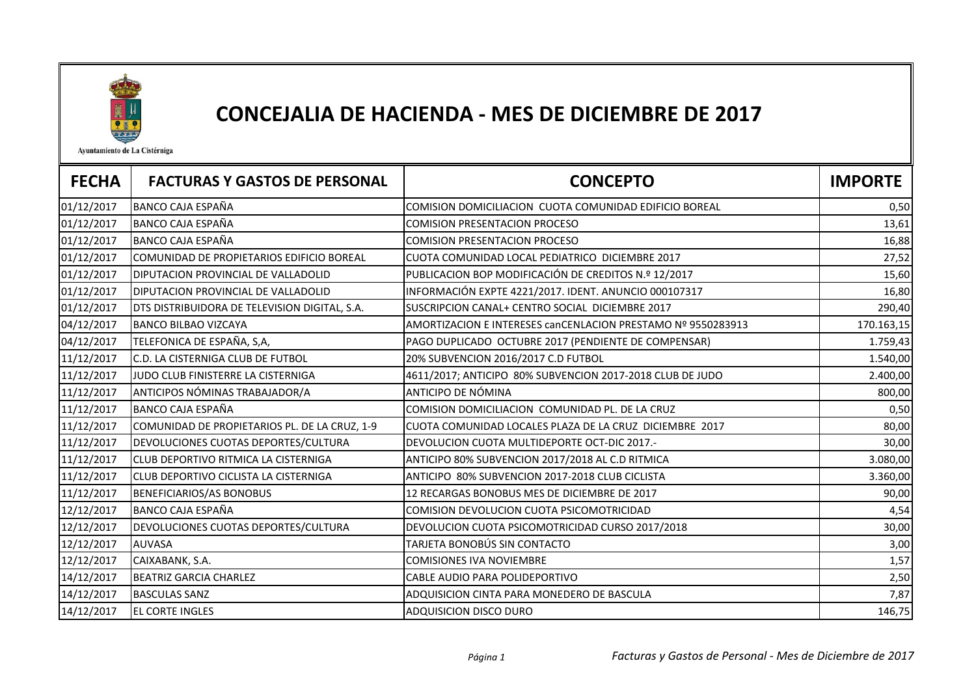

## CONCEJALIA DE HACIENDA - MES DE DICIEMBRE DE 2017

Ayuntamiento de La Cistérniga

| <b>FECHA</b> | <b>FACTURAS Y GASTOS DE PERSONAL</b>          | <b>CONCEPTO</b>                                              | <b>IMPORTE</b> |
|--------------|-----------------------------------------------|--------------------------------------------------------------|----------------|
| 01/12/2017   | <b>BANCO CAJA ESPAÑA</b>                      | COMISION DOMICILIACION CUOTA COMUNIDAD EDIFICIO BOREAL       | 0,50           |
| 01/12/2017   | <b>BANCO CAJA ESPAÑA</b>                      | <b>COMISION PRESENTACION PROCESO</b>                         | 13,61          |
| 01/12/2017   | <b>BANCO CAJA ESPAÑA</b>                      | <b>COMISION PRESENTACION PROCESO</b>                         | 16,88          |
| 01/12/2017   | COMUNIDAD DE PROPIETARIOS EDIFICIO BOREAL     | CUOTA COMUNIDAD LOCAL PEDIATRICO DICIEMBRE 2017              | 27,52          |
| 01/12/2017   | <b>DIPUTACION PROVINCIAL DE VALLADOLID</b>    | PUBLICACION BOP MODIFICACIÓN DE CREDITOS N.º 12/2017         | 15,60          |
| 01/12/2017   | <b>DIPUTACION PROVINCIAL DE VALLADOLID</b>    | INFORMACIÓN EXPTE 4221/2017. IDENT. ANUNCIO 000107317        | 16,80          |
| 01/12/2017   | DTS DISTRIBUIDORA DE TELEVISION DIGITAL, S.A. | SUSCRIPCION CANAL+ CENTRO SOCIAL DICIEMBRE 2017              | 290,40         |
| 04/12/2017   | <b>BANCO BILBAO VIZCAYA</b>                   | AMORTIZACION E INTERESES canCENLACION PRESTAMO Nº 9550283913 | 170.163,15     |
| 04/12/2017   | TELEFONICA DE ESPAÑA, S,A,                    | PAGO DUPLICADO OCTUBRE 2017 (PENDIENTE DE COMPENSAR)         | 1.759,43       |
| 11/12/2017   | C.D. LA CISTERNIGA CLUB DE FUTBOL             | 20% SUBVENCION 2016/2017 C.D FUTBOL                          | 1.540,00       |
| 11/12/2017   | JUDO CLUB FINISTERRE LA CISTERNIGA            | 4611/2017; ANTICIPO 80% SUBVENCION 2017-2018 CLUB DE JUDO    | 2.400,00       |
| 11/12/2017   | ANTICIPOS NÓMINAS TRABAJADOR/A                | ANTICIPO DE NÓMINA                                           | 800,00         |
| 11/12/2017   | <b>BANCO CAJA ESPAÑA</b>                      | COMISION DOMICILIACION COMUNIDAD PL. DE LA CRUZ              | 0,50           |
| 11/12/2017   | COMUNIDAD DE PROPIETARIOS PL. DE LA CRUZ, 1-9 | CUOTA COMUNIDAD LOCALES PLAZA DE LA CRUZ DICIEMBRE 2017      | 80,00          |
| 11/12/2017   | DEVOLUCIONES CUOTAS DEPORTES/CULTURA          | DEVOLUCION CUOTA MULTIDEPORTE OCT-DIC 2017.-                 | 30,00          |
| 11/12/2017   | CLUB DEPORTIVO RITMICA LA CISTERNIGA          | ANTICIPO 80% SUBVENCION 2017/2018 AL C.D RITMICA             | 3.080,00       |
| 11/12/2017   | CLUB DEPORTIVO CICLISTA LA CISTERNIGA         | ANTICIPO 80% SUBVENCION 2017-2018 CLUB CICLISTA              | 3.360,00       |
| 11/12/2017   | <b>BENEFICIARIOS/AS BONOBUS</b>               | 12 RECARGAS BONOBUS MES DE DICIEMBRE DE 2017                 | 90,00          |
| 12/12/2017   | BANCO CAJA ESPAÑA                             | COMISION DEVOLUCION CUOTA PSICOMOTRICIDAD                    | 4,54           |
| 12/12/2017   | DEVOLUCIONES CUOTAS DEPORTES/CULTURA          | DEVOLUCION CUOTA PSICOMOTRICIDAD CURSO 2017/2018             | 30,00          |
| 12/12/2017   | <b>AUVASA</b>                                 | TARJETA BONOBÚS SIN CONTACTO                                 | 3,00           |
| 12/12/2017   | CAIXABANK, S.A.                               | <b>COMISIONES IVA NOVIEMBRE</b>                              | 1,57           |
| 14/12/2017   | <b>BEATRIZ GARCIA CHARLEZ</b>                 | CABLE AUDIO PARA POLIDEPORTIVO                               | 2,50           |
| 14/12/2017   | <b>BASCULAS SANZ</b>                          | ADQUISICION CINTA PARA MONEDERO DE BASCULA                   | 7,87           |
| 14/12/2017   | <b>EL CORTE INGLES</b>                        | ADQUISICION DISCO DURO                                       | 146,75         |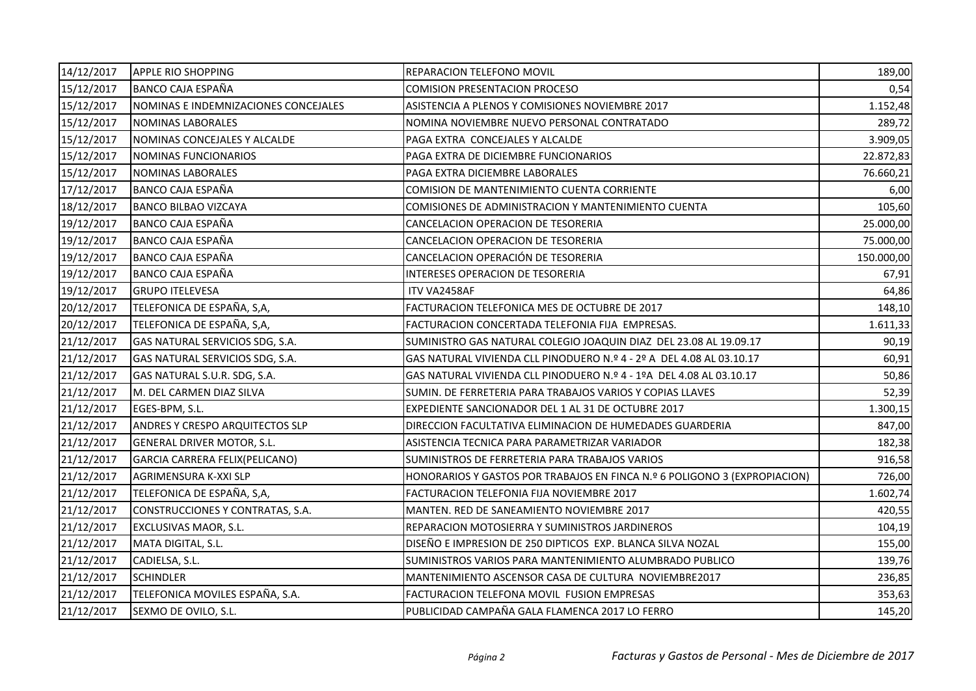| 14/12/2017 | <b>APPLE RIO SHOPPING</b>              | REPARACION TELEFONO MOVIL                                                 | 189,00     |
|------------|----------------------------------------|---------------------------------------------------------------------------|------------|
| 15/12/2017 | <b>BANCO CAJA ESPAÑA</b>               | <b>COMISION PRESENTACION PROCESO</b>                                      | 0,54       |
| 15/12/2017 | NOMINAS E INDEMNIZACIONES CONCEJALES   | ASISTENCIA A PLENOS Y COMISIONES NOVIEMBRE 2017                           | 1.152,48   |
| 15/12/2017 | <b>NOMINAS LABORALES</b>               | NOMINA NOVIEMBRE NUEVO PERSONAL CONTRATADO                                | 289,72     |
| 15/12/2017 | NOMINAS CONCEJALES Y ALCALDE           | PAGA EXTRA CONCEJALES Y ALCALDE                                           | 3.909,05   |
| 15/12/2017 | NOMINAS FUNCIONARIOS                   | PAGA EXTRA DE DICIEMBRE FUNCIONARIOS                                      | 22.872,83  |
| 15/12/2017 | NOMINAS LABORALES                      | PAGA EXTRA DICIEMBRE LABORALES                                            | 76.660,21  |
| 17/12/2017 | BANCO CAJA ESPAÑA                      | COMISION DE MANTENIMIENTO CUENTA CORRIENTE                                | 6,00       |
| 18/12/2017 | <b>BANCO BILBAO VIZCAYA</b>            | COMISIONES DE ADMINISTRACION Y MANTENIMIENTO CUENTA                       | 105,60     |
| 19/12/2017 | <b>BANCO CAJA ESPAÑA</b>               | CANCELACION OPERACION DE TESORERIA                                        | 25.000,00  |
| 19/12/2017 | BANCO CAJA ESPAÑA                      | CANCELACION OPERACION DE TESORERIA                                        | 75.000,00  |
| 19/12/2017 | BANCO CAJA ESPAÑA                      | CANCELACION OPERACIÓN DE TESORERIA                                        | 150.000,00 |
| 19/12/2017 | BANCO CAJA ESPAÑA                      | INTERESES OPERACION DE TESORERIA                                          | 67,91      |
| 19/12/2017 | <b>GRUPO ITELEVESA</b>                 | ITV VA2458AF                                                              | 64,86      |
| 20/12/2017 | TELEFONICA DE ESPAÑA, S,A,             | FACTURACION TELEFONICA MES DE OCTUBRE DE 2017                             | 148,10     |
| 20/12/2017 | TELEFONICA DE ESPAÑA, S,A,             | FACTURACION CONCERTADA TELEFONIA FIJA EMPRESAS.                           | 1.611,33   |
| 21/12/2017 | GAS NATURAL SERVICIOS SDG, S.A.        | SUMINISTRO GAS NATURAL COLEGIO JOAQUIN DIAZ DEL 23.08 AL 19.09.17         | 90,19      |
| 21/12/2017 | GAS NATURAL SERVICIOS SDG, S.A.        | GAS NATURAL VIVIENDA CLL PINODUERO N.º 4 - 2º A DEL 4.08 AL 03.10.17      | 60,91      |
| 21/12/2017 | GAS NATURAL S.U.R. SDG, S.A.           | GAS NATURAL VIVIENDA CLL PINODUERO N.º 4 - 1ºA DEL 4.08 AL 03.10.17       | 50,86      |
| 21/12/2017 | M. DEL CARMEN DIAZ SILVA               | SUMIN. DE FERRETERIA PARA TRABAJOS VARIOS Y COPIAS LLAVES                 | 52,39      |
| 21/12/2017 | EGES-BPM, S.L.                         | EXPEDIENTE SANCIONADOR DEL 1 AL 31 DE OCTUBRE 2017                        | 1.300,15   |
| 21/12/2017 | <b>ANDRES Y CRESPO ARQUITECTOS SLP</b> | DIRECCION FACULTATIVA ELIMINACION DE HUMEDADES GUARDERIA                  | 847,00     |
| 21/12/2017 | GENERAL DRIVER MOTOR, S.L.             | ASISTENCIA TECNICA PARA PARAMETRIZAR VARIADOR                             | 182,38     |
| 21/12/2017 | GARCIA CARRERA FELIX(PELICANO)         | SUMINISTROS DE FERRETERIA PARA TRABAJOS VARIOS                            | 916,58     |
| 21/12/2017 | AGRIMENSURA K-XXI SLP                  | HONORARIOS Y GASTOS POR TRABAJOS EN FINCA N.º 6 POLIGONO 3 (EXPROPIACION) | 726,00     |
| 21/12/2017 | TELEFONICA DE ESPAÑA, S,A,             | FACTURACION TELEFONIA FIJA NOVIEMBRE 2017                                 | 1.602,74   |
| 21/12/2017 | CONSTRUCCIONES Y CONTRATAS, S.A.       | MANTEN. RED DE SANEAMIENTO NOVIEMBRE 2017                                 | 420,55     |
| 21/12/2017 | EXCLUSIVAS MAOR, S.L.                  | REPARACION MOTOSIERRA Y SUMINISTROS JARDINEROS                            | 104,19     |
| 21/12/2017 | MATA DIGITAL, S.L.                     | DISEÑO E IMPRESION DE 250 DIPTICOS EXP. BLANCA SILVA NOZAL                | 155,00     |
| 21/12/2017 | CADIELSA, S.L.                         | SUMINISTROS VARIOS PARA MANTENIMIENTO ALUMBRADO PUBLICO                   | 139,76     |
| 21/12/2017 | <b>SCHINDLER</b>                       | MANTENIMIENTO ASCENSOR CASA DE CULTURA NOVIEMBRE2017                      | 236,85     |
| 21/12/2017 | TELEFONICA MOVILES ESPAÑA, S.A.        | FACTURACION TELEFONA MOVIL FUSION EMPRESAS                                | 353,63     |
| 21/12/2017 | SEXMO DE OVILO, S.L.                   | PUBLICIDAD CAMPAÑA GALA FLAMENCA 2017 LO FERRO                            | 145,20     |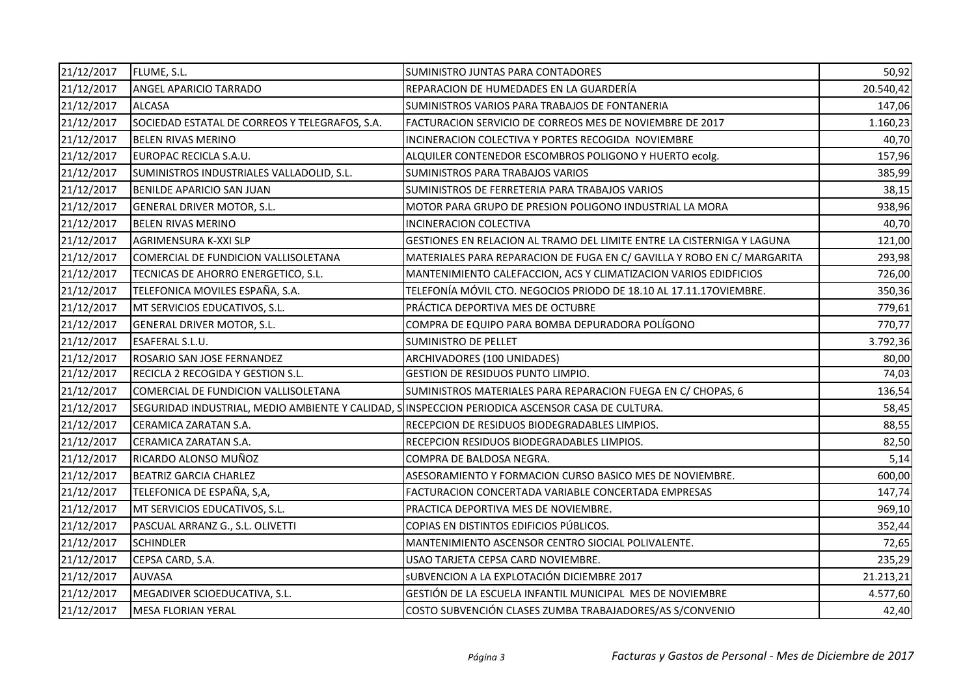| 21/12/2017 | FLUME, S.L.                                                                                     | SUMINISTRO JUNTAS PARA CONTADORES                                       | 50,92     |
|------------|-------------------------------------------------------------------------------------------------|-------------------------------------------------------------------------|-----------|
| 21/12/2017 | <b>ANGEL APARICIO TARRADO</b>                                                                   | REPARACION DE HUMEDADES EN LA GUARDERÍA                                 | 20.540,42 |
| 21/12/2017 | <b>ALCASA</b>                                                                                   | SUMINISTROS VARIOS PARA TRABAJOS DE FONTANERIA                          | 147,06    |
| 21/12/2017 | SOCIEDAD ESTATAL DE CORREOS Y TELEGRAFOS, S.A.                                                  | FACTURACION SERVICIO DE CORREOS MES DE NOVIEMBRE DE 2017                | 1.160,23  |
| 21/12/2017 | BELEN RIVAS MERINO                                                                              | INCINERACION COLECTIVA Y PORTES RECOGIDA NOVIEMBRE                      | 40,70     |
| 21/12/2017 | EUROPAC RECICLA S.A.U.                                                                          | ALQUILER CONTENEDOR ESCOMBROS POLIGONO Y HUERTO ecolg.                  | 157,96    |
| 21/12/2017 | SUMINISTROS INDUSTRIALES VALLADOLID, S.L.                                                       | <b>SUMINISTROS PARA TRABAJOS VARIOS</b>                                 | 385,99    |
| 21/12/2017 | BENILDE APARICIO SAN JUAN                                                                       | SUMINISTROS DE FERRETERIA PARA TRABAJOS VARIOS                          | 38,15     |
| 21/12/2017 | GENERAL DRIVER MOTOR, S.L.                                                                      | MOTOR PARA GRUPO DE PRESION POLIGONO INDUSTRIAL LA MORA                 | 938,96    |
| 21/12/2017 | BELEN RIVAS MERINO                                                                              | <b>INCINERACION COLECTIVA</b>                                           | 40,70     |
| 21/12/2017 | <b>AGRIMENSURA K-XXI SLP</b>                                                                    | GESTIONES EN RELACION AL TRAMO DEL LIMITE ENTRE LA CISTERNIGA Y LAGUNA  | 121,00    |
| 21/12/2017 | COMERCIAL DE FUNDICION VALLISOLETANA                                                            | MATERIALES PARA REPARACION DE FUGA EN C/ GAVILLA Y ROBO EN C/ MARGARITA | 293,98    |
| 21/12/2017 | TECNICAS DE AHORRO ENERGETICO, S.L.                                                             | MANTENIMIENTO CALEFACCION, ACS Y CLIMATIZACION VARIOS EDIDFICIOS        | 726,00    |
| 21/12/2017 | TELEFONICA MOVILES ESPAÑA, S.A.                                                                 | TELEFONÍA MÓVIL CTO. NEGOCIOS PRIODO DE 18.10 AL 17.11.17OVIEMBRE.      | 350,36    |
| 21/12/2017 | MT SERVICIOS EDUCATIVOS, S.L.                                                                   | PRÁCTICA DEPORTIVA MES DE OCTUBRE                                       | 779,61    |
| 21/12/2017 | GENERAL DRIVER MOTOR, S.L.                                                                      | COMPRA DE EQUIPO PARA BOMBA DEPURADORA POLÍGONO                         | 770,77    |
| 21/12/2017 | ESAFERAL S.L.U.                                                                                 | <b>SUMINISTRO DE PELLET</b>                                             | 3.792,36  |
| 21/12/2017 | ROSARIO SAN JOSE FERNANDEZ                                                                      | ARCHIVADORES (100 UNIDADES)                                             | 80,00     |
| 21/12/2017 | RECICLA 2 RECOGIDA Y GESTION S.L.                                                               | GESTION DE RESIDUOS PUNTO LIMPIO.                                       | 74,03     |
| 21/12/2017 | COMERCIAL DE FUNDICION VALLISOLETANA                                                            | SUMINISTROS MATERIALES PARA REPARACION FUEGA EN C/ CHOPAS, 6            | 136,54    |
| 21/12/2017 | SEGURIDAD INDUSTRIAL, MEDIO AMBIENTE Y CALIDAD, SINSPECCION PERIODICA ASCENSOR CASA DE CULTURA. |                                                                         | 58,45     |
| 21/12/2017 | CERAMICA ZARATAN S.A.                                                                           | RECEPCION DE RESIDUOS BIODEGRADABLES LIMPIOS.                           | 88,55     |
| 21/12/2017 | CERAMICA ZARATAN S.A.                                                                           | RECEPCION RESIDUOS BIODEGRADABLES LIMPIOS.                              | 82,50     |
| 21/12/2017 | RICARDO ALONSO MUÑOZ                                                                            | COMPRA DE BALDOSA NEGRA.                                                | 5,14      |
| 21/12/2017 | <b>BEATRIZ GARCIA CHARLEZ</b>                                                                   | ASESORAMIENTO Y FORMACION CURSO BASICO MES DE NOVIEMBRE.                | 600,00    |
| 21/12/2017 | TELEFONICA DE ESPAÑA, S,A,                                                                      | FACTURACION CONCERTADA VARIABLE CONCERTADA EMPRESAS                     | 147,74    |
| 21/12/2017 | MT SERVICIOS EDUCATIVOS, S.L.                                                                   | PRACTICA DEPORTIVA MES DE NOVIEMBRE.                                    | 969,10    |
| 21/12/2017 | PASCUAL ARRANZ G., S.L. OLIVETTI                                                                | COPIAS EN DISTINTOS EDIFICIOS PÚBLICOS.                                 | 352,44    |
| 21/12/2017 | <b>SCHINDLER</b>                                                                                | MANTENIMIENTO ASCENSOR CENTRO SIOCIAL POLIVALENTE.                      | 72,65     |
| 21/12/2017 | CEPSA CARD, S.A.                                                                                | USAO TARJETA CEPSA CARD NOVIEMBRE.                                      | 235,29    |
| 21/12/2017 | <b>AUVASA</b>                                                                                   | SUBVENCION A LA EXPLOTACIÓN DICIEMBRE 2017                              | 21.213,21 |
| 21/12/2017 | MEGADIVER SCIOEDUCATIVA, S.L.                                                                   | GESTIÓN DE LA ESCUELA INFANTIL MUNICIPAL MES DE NOVIEMBRE               | 4.577,60  |
| 21/12/2017 | <b>MESA FLORIAN YERAL</b>                                                                       | COSTO SUBVENCIÓN CLASES ZUMBA TRABAJADORES/AS S/CONVENIO                | 42,40     |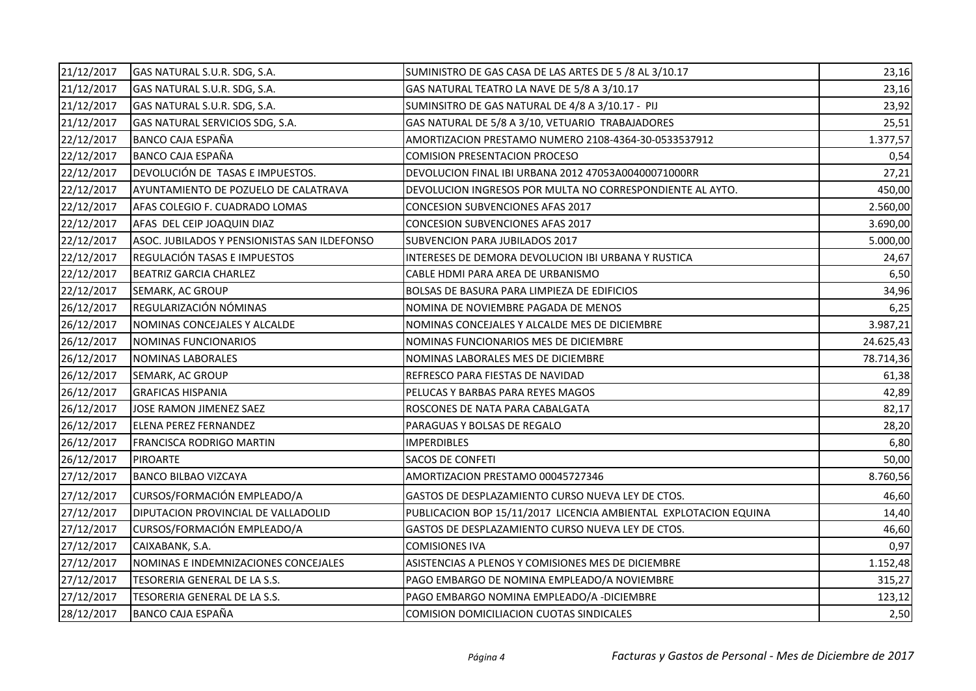| 21/12/2017 | GAS NATURAL S.U.R. SDG, S.A.                 | SUMINISTRO DE GAS CASA DE LAS ARTES DE 5 /8 AL 3/10.17           | 23,16     |
|------------|----------------------------------------------|------------------------------------------------------------------|-----------|
| 21/12/2017 | GAS NATURAL S.U.R. SDG, S.A.                 | GAS NATURAL TEATRO LA NAVE DE 5/8 A 3/10.17                      | 23,16     |
| 21/12/2017 | GAS NATURAL S.U.R. SDG, S.A.                 | SUMINSITRO DE GAS NATURAL DE 4/8 A 3/10.17 - PIJ                 | 23,92     |
| 21/12/2017 | GAS NATURAL SERVICIOS SDG, S.A.              | GAS NATURAL DE 5/8 A 3/10, VETUARIO TRABAJADORES                 | 25,51     |
| 22/12/2017 | BANCO CAJA ESPAÑA                            | AMORTIZACION PRESTAMO NUMERO 2108-4364-30-0533537912             | 1.377,57  |
| 22/12/2017 | <b>BANCO CAJA ESPAÑA</b>                     | <b>COMISION PRESENTACION PROCESO</b>                             | 0,54      |
| 22/12/2017 | DEVOLUCIÓN DE TASAS E IMPUESTOS.             | DEVOLUCION FINAL IBI URBANA 2012 47053A00400071000RR             | 27,21     |
| 22/12/2017 | AYUNTAMIENTO DE POZUELO DE CALATRAVA         | DEVOLUCION INGRESOS POR MULTA NO CORRESPONDIENTE AL AYTO.        | 450,00    |
| 22/12/2017 | AFAS COLEGIO F. CUADRADO LOMAS               | <b>CONCESION SUBVENCIONES AFAS 2017</b>                          | 2.560,00  |
| 22/12/2017 | AFAS DEL CEIP JOAQUIN DIAZ                   | CONCESION SUBVENCIONES AFAS 2017                                 | 3.690,00  |
| 22/12/2017 | ASOC. JUBILADOS Y PENSIONISTAS SAN ILDEFONSO | SUBVENCION PARA JUBILADOS 2017                                   | 5.000,00  |
| 22/12/2017 | REGULACIÓN TASAS E IMPUESTOS                 | INTERESES DE DEMORA DEVOLUCION IBI URBANA Y RUSTICA              | 24,67     |
| 22/12/2017 | <b>BEATRIZ GARCIA CHARLEZ</b>                | CABLE HDMI PARA AREA DE URBANISMO                                | 6,50      |
| 22/12/2017 | SEMARK, AC GROUP                             | BOLSAS DE BASURA PARA LIMPIEZA DE EDIFICIOS                      | 34,96     |
| 26/12/2017 | REGULARIZACIÓN NÓMINAS                       | NOMINA DE NOVIEMBRE PAGADA DE MENOS                              | 6,25      |
| 26/12/2017 | NOMINAS CONCEJALES Y ALCALDE                 | NOMINAS CONCEJALES Y ALCALDE MES DE DICIEMBRE                    | 3.987,21  |
| 26/12/2017 | NOMINAS FUNCIONARIOS                         | NOMINAS FUNCIONARIOS MES DE DICIEMBRE                            | 24.625,43 |
| 26/12/2017 | NOMINAS LABORALES                            | NOMINAS LABORALES MES DE DICIEMBRE                               | 78.714,36 |
| 26/12/2017 | SEMARK, AC GROUP                             | REFRESCO PARA FIESTAS DE NAVIDAD                                 | 61,38     |
| 26/12/2017 | <b>GRAFICAS HISPANIA</b>                     | PELUCAS Y BARBAS PARA REYES MAGOS                                | 42,89     |
| 26/12/2017 | JOSE RAMON JIMENEZ SAEZ                      | ROSCONES DE NATA PARA CABALGATA                                  | 82,17     |
| 26/12/2017 | <b>ELENA PEREZ FERNANDEZ</b>                 | PARAGUAS Y BOLSAS DE REGALO                                      | 28,20     |
| 26/12/2017 | <b>FRANCISCA RODRIGO MARTIN</b>              | <b>IMPERDIBLES</b>                                               | 6,80      |
| 26/12/2017 | <b>PIROARTE</b>                              | SACOS DE CONFETI                                                 | 50,00     |
| 27/12/2017 | <b>BANCO BILBAO VIZCAYA</b>                  | AMORTIZACION PRESTAMO 00045727346                                | 8.760,56  |
| 27/12/2017 | CURSOS/FORMACIÓN EMPLEADO/A                  | GASTOS DE DESPLAZAMIENTO CURSO NUEVA LEY DE CTOS.                | 46,60     |
| 27/12/2017 | DIPUTACION PROVINCIAL DE VALLADOLID          | PUBLICACION BOP 15/11/2017 LICENCIA AMBIENTAL EXPLOTACION EQUINA | 14,40     |
| 27/12/2017 | CURSOS/FORMACIÓN EMPLEADO/A                  | GASTOS DE DESPLAZAMIENTO CURSO NUEVA LEY DE CTOS.                | 46,60     |
| 27/12/2017 | CAIXABANK, S.A.                              | <b>COMISIONES IVA</b>                                            | 0,97      |
| 27/12/2017 | NOMINAS E INDEMNIZACIONES CONCEJALES         | ASISTENCIAS A PLENOS Y COMISIONES MES DE DICIEMBRE               | 1.152,48  |
| 27/12/2017 | TESORERIA GENERAL DE LA S.S.                 | PAGO EMBARGO DE NOMINA EMPLEADO/A NOVIEMBRE                      | 315,27    |
| 27/12/2017 | TESORERIA GENERAL DE LA S.S.                 | PAGO EMBARGO NOMINA EMPLEADO/A - DICIEMBRE                       | 123,12    |
| 28/12/2017 | <b>BANCO CAJA ESPAÑA</b>                     | COMISION DOMICILIACION CUOTAS SINDICALES                         | 2,50      |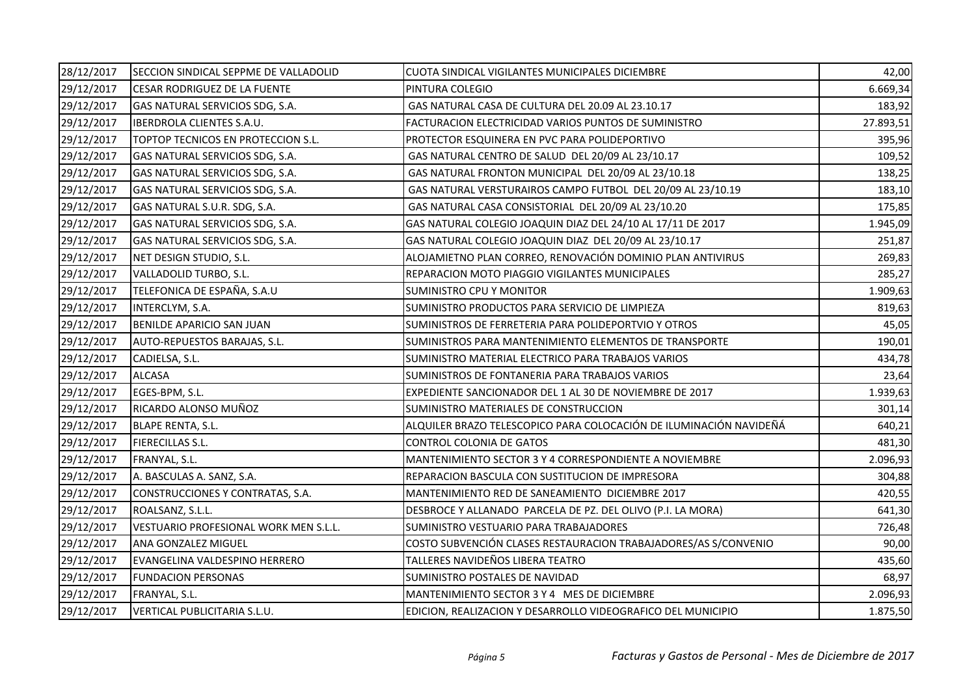| 28/12/2017 | SECCION SINDICAL SEPPME DE VALLADOLID | CUOTA SINDICAL VIGILANTES MUNICIPALES DICIEMBRE                    | 42,00     |
|------------|---------------------------------------|--------------------------------------------------------------------|-----------|
| 29/12/2017 | <b>CESAR RODRIGUEZ DE LA FUENTE</b>   | PINTURA COLEGIO                                                    | 6.669,34  |
| 29/12/2017 | GAS NATURAL SERVICIOS SDG, S.A.       | GAS NATURAL CASA DE CULTURA DEL 20.09 AL 23.10.17                  | 183,92    |
| 29/12/2017 | <b>IBERDROLA CLIENTES S.A.U.</b>      | FACTURACION ELECTRICIDAD VARIOS PUNTOS DE SUMINISTRO               | 27.893,51 |
| 29/12/2017 | TOPTOP TECNICOS EN PROTECCION S.L.    | PROTECTOR ESQUINERA EN PVC PARA POLIDEPORTIVO                      | 395,96    |
| 29/12/2017 | GAS NATURAL SERVICIOS SDG, S.A.       | GAS NATURAL CENTRO DE SALUD DEL 20/09 AL 23/10.17                  | 109,52    |
| 29/12/2017 | GAS NATURAL SERVICIOS SDG, S.A.       | GAS NATURAL FRONTON MUNICIPAL DEL 20/09 AL 23/10.18                | 138,25    |
| 29/12/2017 | GAS NATURAL SERVICIOS SDG, S.A.       | GAS NATURAL VERSTURAIROS CAMPO FUTBOL DEL 20/09 AL 23/10.19        | 183,10    |
| 29/12/2017 | GAS NATURAL S.U.R. SDG, S.A.          | GAS NATURAL CASA CONSISTORIAL DEL 20/09 AL 23/10.20                | 175,85    |
| 29/12/2017 | GAS NATURAL SERVICIOS SDG, S.A.       | GAS NATURAL COLEGIO JOAQUIN DIAZ DEL 24/10 AL 17/11 DE 2017        | 1.945,09  |
| 29/12/2017 | GAS NATURAL SERVICIOS SDG, S.A.       | GAS NATURAL COLEGIO JOAQUIN DIAZ DEL 20/09 AL 23/10.17             | 251,87    |
| 29/12/2017 | NET DESIGN STUDIO, S.L.               | ALOJAMIETNO PLAN CORREO, RENOVACIÓN DOMINIO PLAN ANTIVIRUS         | 269,83    |
| 29/12/2017 | VALLADOLID TURBO, S.L.                | REPARACION MOTO PIAGGIO VIGILANTES MUNICIPALES                     | 285,27    |
| 29/12/2017 | TELEFONICA DE ESPAÑA, S.A.U           | <b>SUMINISTRO CPU Y MONITOR</b>                                    | 1.909,63  |
| 29/12/2017 | INTERCLYM, S.A.                       | SUMINISTRO PRODUCTOS PARA SERVICIO DE LIMPIEZA                     | 819,63    |
| 29/12/2017 | BENILDE APARICIO SAN JUAN             | SUMINISTROS DE FERRETERIA PARA POLIDEPORTVIO Y OTROS               | 45,05     |
| 29/12/2017 | AUTO-REPUESTOS BARAJAS, S.L.          | SUMINISTROS PARA MANTENIMIENTO ELEMENTOS DE TRANSPORTE             | 190,01    |
| 29/12/2017 | CADIELSA, S.L.                        | SUMINISTRO MATERIAL ELECTRICO PARA TRABAJOS VARIOS                 | 434,78    |
| 29/12/2017 | <b>ALCASA</b>                         | SUMINISTROS DE FONTANERIA PARA TRABAJOS VARIOS                     | 23,64     |
| 29/12/2017 | EGES-BPM, S.L.                        | EXPEDIENTE SANCIONADOR DEL 1 AL 30 DE NOVIEMBRE DE 2017            | 1.939,63  |
| 29/12/2017 | RICARDO ALONSO MUÑOZ                  | SUMINISTRO MATERIALES DE CONSTRUCCION                              | 301,14    |
| 29/12/2017 | <b>BLAPE RENTA, S.L.</b>              | ALQUILER BRAZO TELESCOPICO PARA COLOCACIÓN DE ILUMINACIÓN NAVIDEÑÁ | 640,21    |
| 29/12/2017 | <b>FIERECILLAS S.L.</b>               | CONTROL COLONIA DE GATOS                                           | 481,30    |
| 29/12/2017 | FRANYAL, S.L.                         | MANTENIMIENTO SECTOR 3 Y 4 CORRESPONDIENTE A NOVIEMBRE             | 2.096,93  |
| 29/12/2017 | A. BASCULAS A. SANZ, S.A.             | REPARACION BASCULA CON SUSTITUCION DE IMPRESORA                    | 304,88    |
| 29/12/2017 | CONSTRUCCIONES Y CONTRATAS, S.A.      | MANTENIMIENTO RED DE SANEAMIENTO DICIEMBRE 2017                    | 420,55    |
| 29/12/2017 | ROALSANZ, S.L.L.                      | DESBROCE Y ALLANADO PARCELA DE PZ. DEL OLIVO (P.I. LA MORA)        | 641,30    |
| 29/12/2017 | VESTUARIO PROFESIONAL WORK MEN S.L.L. | SUMINISTRO VESTUARIO PARA TRABAJADORES                             | 726,48    |
| 29/12/2017 | ANA GONZALEZ MIGUEL                   | COSTO SUBVENCIÓN CLASES RESTAURACION TRABAJADORES/AS S/CONVENIO    | 90,00     |
| 29/12/2017 | EVANGELINA VALDESPINO HERRERO         | TALLERES NAVIDEÑOS LIBERA TEATRO                                   | 435,60    |
| 29/12/2017 | <b>FUNDACION PERSONAS</b>             | SUMINISTRO POSTALES DE NAVIDAD                                     | 68,97     |
| 29/12/2017 | FRANYAL, S.L.                         | MANTENIMIENTO SECTOR 3 Y 4 MES DE DICIEMBRE                        | 2.096,93  |
| 29/12/2017 | VERTICAL PUBLICITARIA S.L.U.          | EDICION, REALIZACION Y DESARROLLO VIDEOGRAFICO DEL MUNICIPIO       | 1.875,50  |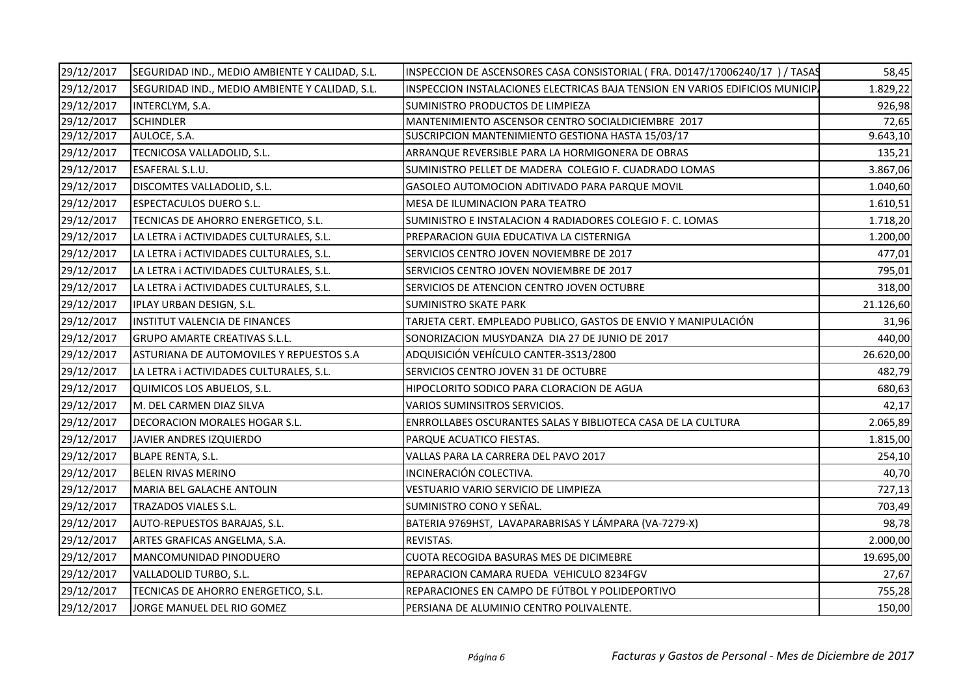| 29/12/2017 | SEGURIDAD IND., MEDIO AMBIENTE Y CALIDAD, S.L. | INSPECCION DE ASCENSORES CASA CONSISTORIAL (FRA. D0147/17006240/17 ) / TASAS  | 58,45     |
|------------|------------------------------------------------|-------------------------------------------------------------------------------|-----------|
| 29/12/2017 | SEGURIDAD IND., MEDIO AMBIENTE Y CALIDAD, S.L. | INSPECCION INSTALACIONES ELECTRICAS BAJA TENSION EN VARIOS EDIFICIOS MUNICIP. | 1.829,22  |
| 29/12/2017 | INTERCLYM, S.A.                                | SUMINISTRO PRODUCTOS DE LIMPIEZA                                              | 926,98    |
| 29/12/2017 | <b>SCHINDLER</b>                               | MANTENIMIENTO ASCENSOR CENTRO SOCIALDICIEMBRE 2017                            | 72,65     |
| 29/12/2017 | AULOCE, S.A.                                   | SUSCRIPCION MANTENIMIENTO GESTIONA HASTA 15/03/17                             | 9.643,10  |
| 29/12/2017 | TECNICOSA VALLADOLID, S.L.                     | ARRANQUE REVERSIBLE PARA LA HORMIGONERA DE OBRAS                              | 135,21    |
| 29/12/2017 | ESAFERAL S.L.U.                                | SUMINISTRO PELLET DE MADERA COLEGIO F. CUADRADO LOMAS                         | 3.867,06  |
| 29/12/2017 | DISCOMTES VALLADOLID, S.L.                     | GASOLEO AUTOMOCION ADITIVADO PARA PARQUE MOVIL                                | 1.040,60  |
| 29/12/2017 | <b>ESPECTACULOS DUERO S.L.</b>                 | MESA DE ILUMINACION PARA TEATRO                                               | 1.610,51  |
| 29/12/2017 | TECNICAS DE AHORRO ENERGETICO, S.L.            | SUMINISTRO E INSTALACION 4 RADIADORES COLEGIO F. C. LOMAS                     | 1.718,20  |
| 29/12/2017 | LA LETRA i ACTIVIDADES CULTURALES, S.L.        | PREPARACION GUIA EDUCATIVA LA CISTERNIGA                                      | 1.200,00  |
| 29/12/2017 | LA LETRA i ACTIVIDADES CULTURALES, S.L.        | SERVICIOS CENTRO JOVEN NOVIEMBRE DE 2017                                      | 477,01    |
| 29/12/2017 | LA LETRA i ACTIVIDADES CULTURALES, S.L.        | SERVICIOS CENTRO JOVEN NOVIEMBRE DE 2017                                      | 795,01    |
| 29/12/2017 | LA LETRA i ACTIVIDADES CULTURALES, S.L.        | SERVICIOS DE ATENCION CENTRO JOVEN OCTUBRE                                    | 318,00    |
| 29/12/2017 | IPLAY URBAN DESIGN, S.L.                       | <b>SUMINISTRO SKATE PARK</b>                                                  | 21.126,60 |
| 29/12/2017 | INSTITUT VALENCIA DE FINANCES                  | TARJETA CERT. EMPLEADO PUBLICO, GASTOS DE ENVIO Y MANIPULACIÓN                | 31,96     |
| 29/12/2017 | <b>GRUPO AMARTE CREATIVAS S.L.L.</b>           | SONORIZACION MUSYDANZA DIA 27 DE JUNIO DE 2017                                | 440,00    |
| 29/12/2017 | ASTURIANA DE AUTOMOVILES Y REPUESTOS S.A       | ADQUISICIÓN VEHÍCULO CANTER-3S13/2800                                         | 26.620,00 |
| 29/12/2017 | LA LETRA i ACTIVIDADES CULTURALES, S.L.        | SERVICIOS CENTRO JOVEN 31 DE OCTUBRE                                          | 482,79    |
| 29/12/2017 | QUIMICOS LOS ABUELOS, S.L.                     | HIPOCLORITO SODICO PARA CLORACION DE AGUA                                     | 680,63    |
| 29/12/2017 | M. DEL CARMEN DIAZ SILVA                       | VARIOS SUMINSITROS SERVICIOS.                                                 | 42,17     |
| 29/12/2017 | DECORACION MORALES HOGAR S.L.                  | ENRROLLABES OSCURANTES SALAS Y BIBLIOTECA CASA DE LA CULTURA                  | 2.065,89  |
| 29/12/2017 | JAVIER ANDRES IZQUIERDO                        | PARQUE ACUATICO FIESTAS.                                                      | 1.815,00  |
| 29/12/2017 | <b>BLAPE RENTA, S.L.</b>                       | VALLAS PARA LA CARRERA DEL PAVO 2017                                          | 254,10    |
| 29/12/2017 | <b>BELEN RIVAS MERINO</b>                      | INCINERACIÓN COLECTIVA.                                                       | 40,70     |
| 29/12/2017 | MARIA BEL GALACHE ANTOLIN                      | VESTUARIO VARIO SERVICIO DE LIMPIEZA                                          | 727,13    |
| 29/12/2017 | TRAZADOS VIALES S.L.                           | SUMINISTRO CONO Y SEÑAL.                                                      | 703,49    |
| 29/12/2017 | AUTO-REPUESTOS BARAJAS, S.L.                   | BATERIA 9769HST, LAVAPARABRISAS Y LÁMPARA (VA-7279-X)                         | 98,78     |
| 29/12/2017 | ARTES GRAFICAS ANGELMA, S.A.                   | REVISTAS.                                                                     | 2.000,00  |
| 29/12/2017 | MANCOMUNIDAD PINODUERO                         | <b>CUOTA RECOGIDA BASURAS MES DE DICIMEBRE</b>                                | 19.695,00 |
| 29/12/2017 | VALLADOLID TURBO, S.L.                         | REPARACION CAMARA RUEDA VEHICULO 8234FGV                                      | 27,67     |
| 29/12/2017 | TECNICAS DE AHORRO ENERGETICO, S.L.            | REPARACIONES EN CAMPO DE FÚTBOL Y POLIDEPORTIVO                               | 755,28    |
| 29/12/2017 | JORGE MANUEL DEL RIO GOMEZ                     | PERSIANA DE ALUMINIO CENTRO POLIVALENTE.                                      | 150,00    |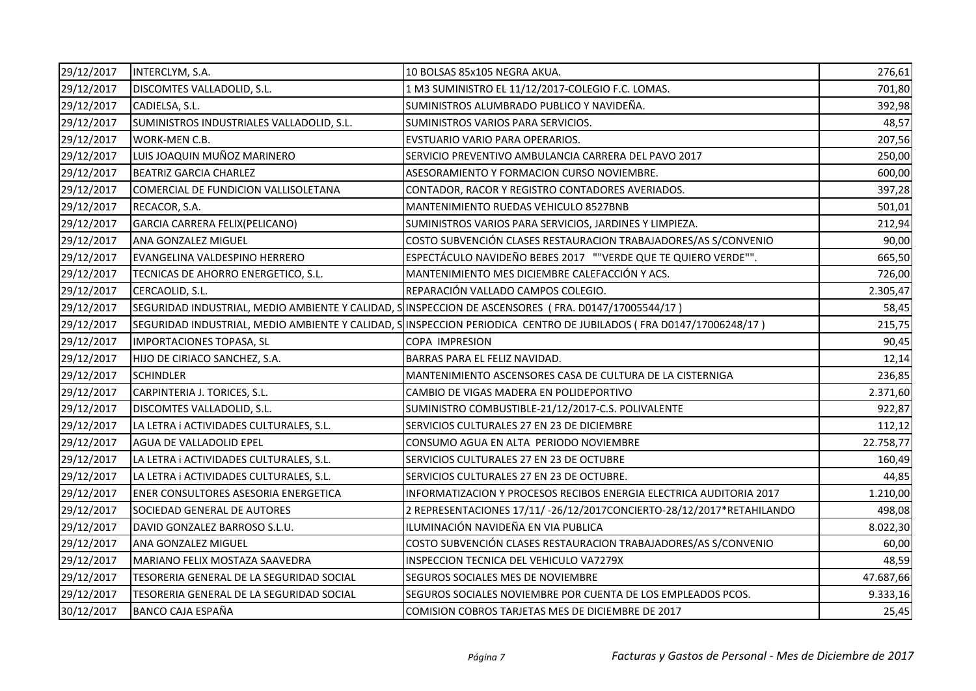| 29/12/2017 | INTERCLYM, S.A.                           | 10 BOLSAS 85x105 NEGRA AKUA.                                                                                      | 276,61    |
|------------|-------------------------------------------|-------------------------------------------------------------------------------------------------------------------|-----------|
| 29/12/2017 | DISCOMTES VALLADOLID, S.L.                | 1 M3 SUMINISTRO EL 11/12/2017-COLEGIO F.C. LOMAS.                                                                 | 701,80    |
| 29/12/2017 | CADIELSA, S.L.                            | SUMINISTROS ALUMBRADO PUBLICO Y NAVIDEÑA.                                                                         | 392,98    |
| 29/12/2017 | SUMINISTROS INDUSTRIALES VALLADOLID, S.L. | SUMINISTROS VARIOS PARA SERVICIOS.                                                                                | 48,57     |
| 29/12/2017 | WORK-MEN C.B.                             | EVSTUARIO VARIO PARA OPERARIOS.                                                                                   | 207,56    |
| 29/12/2017 | LUIS JOAQUIN MUÑOZ MARINERO               | SERVICIO PREVENTIVO AMBULANCIA CARRERA DEL PAVO 2017                                                              | 250,00    |
| 29/12/2017 | <b>BEATRIZ GARCIA CHARLEZ</b>             | ASESORAMIENTO Y FORMACION CURSO NOVIEMBRE.                                                                        | 600,00    |
| 29/12/2017 | COMERCIAL DE FUNDICION VALLISOLETANA      | CONTADOR, RACOR Y REGISTRO CONTADORES AVERIADOS.                                                                  | 397,28    |
| 29/12/2017 | RECACOR, S.A.                             | MANTENIMIENTO RUEDAS VEHICULO 8527BNB                                                                             | 501,01    |
| 29/12/2017 | GARCIA CARRERA FELIX(PELICANO)            | SUMINISTROS VARIOS PARA SERVICIOS, JARDINES Y LIMPIEZA.                                                           | 212,94    |
| 29/12/2017 | ANA GONZALEZ MIGUEL                       | COSTO SUBVENCIÓN CLASES RESTAURACION TRABAJADORES/AS S/CONVENIO                                                   | 90,00     |
| 29/12/2017 | EVANGELINA VALDESPINO HERRERO             | ESPECTÁCULO NAVIDEÑO BEBES 2017 ""VERDE QUE TE QUIERO VERDE"".                                                    | 665,50    |
| 29/12/2017 | TECNICAS DE AHORRO ENERGETICO, S.L.       | MANTENIMIENTO MES DICIEMBRE CALEFACCIÓN Y ACS.                                                                    | 726,00    |
| 29/12/2017 | CERCAOLID, S.L.                           | REPARACIÓN VALLADO CAMPOS COLEGIO.                                                                                | 2.305,47  |
| 29/12/2017 |                                           | SEGURIDAD INDUSTRIAL, MEDIO AMBIENTE Y CALIDAD, SINSPECCION DE ASCENSORES (FRA. D0147/17005544/17)                | 58,45     |
| 29/12/2017 |                                           | SEGURIDAD INDUSTRIAL, MEDIO AMBIENTE Y CALIDAD, SINSPECCION PERIODICA CENTRO DE JUBILADOS (FRA D0147/17006248/17) | 215,75    |
| 29/12/2017 | IMPORTACIONES TOPASA, SL                  | <b>COPA IMPRESION</b>                                                                                             | 90,45     |
| 29/12/2017 | HIJO DE CIRIACO SANCHEZ, S.A.             | BARRAS PARA EL FELIZ NAVIDAD.                                                                                     | 12,14     |
| 29/12/2017 | <b>SCHINDLER</b>                          | MANTENIMIENTO ASCENSORES CASA DE CULTURA DE LA CISTERNIGA                                                         | 236,85    |
| 29/12/2017 | CARPINTERIA J. TORICES, S.L.              | CAMBIO DE VIGAS MADERA EN POLIDEPORTIVO                                                                           | 2.371,60  |
| 29/12/2017 | DISCOMTES VALLADOLID, S.L.                | SUMINISTRO COMBUSTIBLE-21/12/2017-C.S. POLIVALENTE                                                                | 922,87    |
| 29/12/2017 | LA LETRA i ACTIVIDADES CULTURALES, S.L.   | SERVICIOS CULTURALES 27 EN 23 DE DICIEMBRE                                                                        | 112,12    |
| 29/12/2017 | AGUA DE VALLADOLID EPEL                   | CONSUMO AGUA EN ALTA PERIODO NOVIEMBRE                                                                            | 22.758,77 |
| 29/12/2017 | LA LETRA i ACTIVIDADES CULTURALES, S.L.   | SERVICIOS CULTURALES 27 EN 23 DE OCTUBRE                                                                          | 160,49    |
| 29/12/2017 | LA LETRA i ACTIVIDADES CULTURALES, S.L.   | SERVICIOS CULTURALES 27 EN 23 DE OCTUBRE.                                                                         | 44,85     |
| 29/12/2017 | ENER CONSULTORES ASESORIA ENERGETICA      | INFORMATIZACION Y PROCESOS RECIBOS ENERGIA ELECTRICA AUDITORIA 2017                                               | 1.210,00  |
| 29/12/2017 | SOCIEDAD GENERAL DE AUTORES               | 2 REPRESENTACIONES 17/11/-26/12/2017CONCIERTO-28/12/2017*RETAHILANDO                                              | 498,08    |
| 29/12/2017 | DAVID GONZALEZ BARROSO S.L.U.             | ILUMINACIÓN NAVIDEÑA EN VIA PUBLICA                                                                               | 8.022,30  |
| 29/12/2017 | ANA GONZALEZ MIGUEL                       | COSTO SUBVENCIÓN CLASES RESTAURACION TRABAJADORES/AS S/CONVENIO                                                   | 60,00     |
| 29/12/2017 | MARIANO FELIX MOSTAZA SAAVEDRA            | INSPECCION TECNICA DEL VEHICULO VA7279X                                                                           | 48,59     |
| 29/12/2017 | TESORERIA GENERAL DE LA SEGURIDAD SOCIAL  | SEGUROS SOCIALES MES DE NOVIEMBRE                                                                                 | 47.687,66 |
| 29/12/2017 | TESORERIA GENERAL DE LA SEGURIDAD SOCIAL  | SEGUROS SOCIALES NOVIEMBRE POR CUENTA DE LOS EMPLEADOS PCOS.                                                      | 9.333,16  |
| 30/12/2017 | <b>BANCO CAJA ESPAÑA</b>                  | COMISION COBROS TARJETAS MES DE DICIEMBRE DE 2017                                                                 | 25,45     |